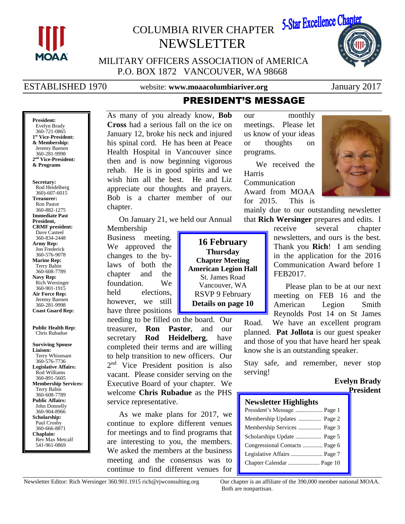

# COLUMBIA RIVER CHAPTER NEWSLETTER



MILITARY OFFICERS ASSOCIATION of AMERICA P.O. BOX 1872 VANCOUVER, WA 98668

ESTABLISHED 1970 website: **www.moaacolumbiariver.org** January 2017

# PRESIDENT'S MESSAGE

**President:** Evelyn Brady 360-721-0865 **1 st Vice-President: & Membership:** Jeremy Baenen 360-281-9998 **2 nd Vice-President: & Programs**

**Secretary:** Rod Heidelberg 360)-607-6015 **Treasurer:** Ron Pastor 360-882-1275 **Immediate Past President, CRMF president:** Dave Casteel 360-834-2448 **Army Rep:** Jon Frederick 360-576-9078 **Marine Rep:** Terry Babin 360-608-7789 **Navy Rep:** Rich Wersinger 360-901-1915 **Air Force Rep:** Jeremy Baenen 360-281-9998 **Coast Guard Rep:**

**Public Health Rep:** Chris Rubadue

**Surviving Spouse Liaison:** Terry Whisenant 360-576-7736 **Legislative Affairs:** Rod Williams 360-891-5605 **Membership Services:** Terry Babin 360-608-7789 **Public Affairs:** John Donnelly 360-904-8966 **Scholarship:** Paul Crosby 360-666-8871 **Chaplain:** Rev Max Metcalf 541-961-0869

As many of you already know, **Bob Cross** had a serious fall on the ice on January 12, broke his neck and injured his spinal cord. He has been at Peace Health Hospital in Vancouver since then and is now beginning vigorous rehab. He is in good spirits and we wish him all the best. He and Liz appreciate our thoughts and prayers. Bob is a charter member of our chapter.

On January 21, we held our Annual

Membership Business meeting. We approved the changes to the bylaws of both the chapter and the foundation. We held elections, however, we still have three positions

**16 February Thursday Chapter Meeting American Legion Hall** St. James Road Vancouver, WA RSVP 9 February **Details on page 10**

needing to be filled on the board. Our treasurer, **Ron Pastor**, and our secretary **Rod Heidelberg**, have completed their terms and are willing to help transition to new officers. Our 2<sup>nd</sup> Vice President position is also vacant. Please consider serving on the Executive Board of your chapter. We welcome **Chris Rubadue** as the PHS service representative.

As we make plans for 2017, we continue to explore different venues for meetings and to find programs that are interesting to you, the members. We asked the members at the business meeting and the consensus was to continue to find different venues for our monthly meetings. Please let us know of your ideas or thoughts on programs.

We received the Harris Communication Award from MOAA for 2015. This is



mainly due to our outstanding newsletter that **Rich Wersinger** prepares and edits. I

> receive several chapter newsletters, and ours is the best. Thank you **Rich**! I am sending in the application for the 2016 Communication Award before 1 FEB2017.

> Please plan to be at our next meeting on FEB 16 and the American Legion Smith Reynolds Post 14 on St James

Road. We have an excellent program planned. **Pat Jollota** is our guest speaker and those of you that have heard her speak know she is an outstanding speaker.

Stay safe, and remember, never stop serving!

#### **Evelyn Brady President**

#### **Newsletter Highlights** President's Message .................. Page 1 Membership Updates ............... Page 2 Membership Services ............... Page 3 Scholarships Update ................. Page 5 Congressional Contacts ............. Page 6

Legislative Affairs ..................... Page 7 Chapter Calendar ..................... Page 10

Both are nonpartisan.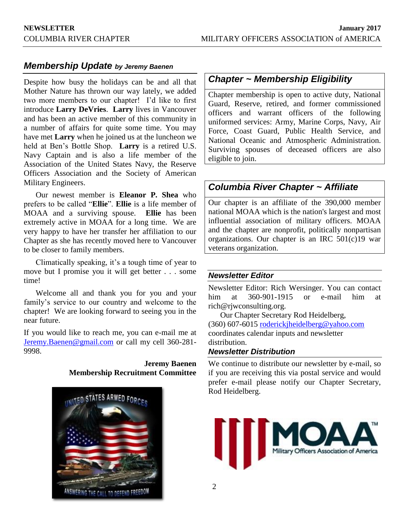### *Membership Update by Jeremy Baenen*

Despite how busy the holidays can be and all that Mother Nature has thrown our way lately, we added two more members to our chapter! I'd like to first introduce **Larry DeVries**. **Larry** lives in Vancouver and has been an active member of this community in a number of affairs for quite some time. You may have met **Larry** when he joined us at the luncheon we held at Ben's Bottle Shop. **Larry** is a retired U.S. Navy Captain and is also a life member of the Association of the United States Navy, the Reserve Officers Association and the Society of American Military Engineers.

Our newest member is **Eleanor P. Shea** who prefers to be called "**Ellie**". **Ellie** is a life member of MOAA and a surviving spouse. **Ellie** has been extremely active in MOAA for a long time. We are very happy to have her transfer her affiliation to our Chapter as she has recently moved here to Vancouver to be closer to family members.

Climatically speaking, it's a tough time of year to move but I promise you it will get better . . . some time!

Welcome all and thank you for you and your family's service to our country and welcome to the chapter! We are looking forward to seeing you in the near future.

If you would like to reach me, you can e-mail me at [Jeremy.Baenen@gmail.com](mailto:Jeremy.Baenen@gmail.com) or call my cell 360-281- 9998.

#### **Jeremy Baenen Membership Recruitment Committee**



# *Chapter ~ Membership Eligibility*

Chapter membership is open to active duty, National Guard, Reserve, retired, and former commissioned officers and warrant officers of the following uniformed services: Army, Marine Corps, Navy, Air Force, Coast Guard, Public Health Service, and National Oceanic and Atmospheric Administration. Surviving spouses of deceased officers are also eligible to join.

# *Columbia River Chapter ~ Affiliate*

Our chapter is an affiliate of the 390,000 member national MOAA which is the nation's largest and most influential association of military officers. MOAA and the chapter are nonprofit, politically nonpartisan organizations. Our chapter is an IRC 501(c)19 war veterans organization.

### *Newsletter Editor*

Newsletter Editor: Rich Wersinger. You can contact him at 360-901-1915 or e-mail him at rich@rjwconsulting.org.

Our Chapter Secretary Rod Heidelberg, (360) 607-6015 [roderickjheidelberg@yahoo.com](mailto:roderickjheidelberg@yahoo.com) coordinates calendar inputs and newsletter distribution.

### *Newsletter Distribution*

We continue to distribute our newsletter by e-mail, so if you are receiving this via postal service and would prefer e-mail please notify our Chapter Secretary, Rod Heidelberg.

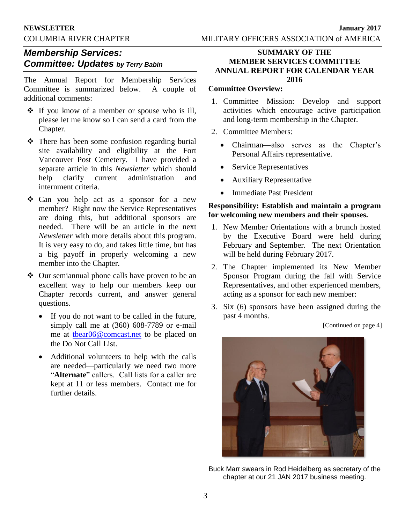# *Membership Services: Committee: Updates by Terry Babin*

The Annual Report for Membership Services Committee is summarized below. A couple of additional comments:

- $\cdot \cdot$  If you know of a member or spouse who is ill, please let me know so I can send a card from the Chapter.
- \* There has been some confusion regarding burial site availability and eligibility at the Fort Vancouver Post Cemetery. I have provided a separate article in this *Newsletter* which should help clarify current administration and internment criteria.
- Can you help act as a sponsor for a new member? Right now the Service Representatives are doing this, but additional sponsors are needed. There will be an article in the next *Newsletter* with more details about this program. It is very easy to do, and takes little time, but has a big payoff in properly welcoming a new member into the Chapter.
- Our semiannual phone calls have proven to be an excellent way to help our members keep our Chapter records current, and answer general questions.
	- If you do not want to be called in the future, simply call me at (360) 608-7789 or e-mail me at [tbear06@comcast.net](mailto:tbear06@comcast.net) to be placed on the Do Not Call List.
	- Additional volunteers to help with the calls are needed—particularly we need two more "**Alternate**" callers. Call lists for a caller are kept at 11 or less members. Contact me for further details.

#### **SUMMARY OF THE MEMBER SERVICES COMMITTEE ANNUAL REPORT FOR CALENDAR YEAR 2016**

#### **Committee Overview:**

- 1. Committee Mission: Develop and support activities which encourage active participation and long-term membership in the Chapter.
- 2. Committee Members:
	- Chairman—also serves as the Chapter's Personal Affairs representative.
	- Service Representatives
	- Auxiliary Representative
	- Immediate Past President

#### **Responsibility: Establish and maintain a program for welcoming new members and their spouses.**

- 1. New Member Orientations with a brunch hosted by the Executive Board were held during February and September. The next Orientation will be held during February 2017.
- 2. The Chapter implemented its New Member Sponsor Program during the fall with Service Representatives, and other experienced members, acting as a sponsor for each new member:
- 3. Six (6) sponsors have been assigned during the past 4 months.

[Continued on page 4]



Buck Marr swears in Rod Heidelberg as secretary of the chapter at our 21 JAN 2017 business meeting.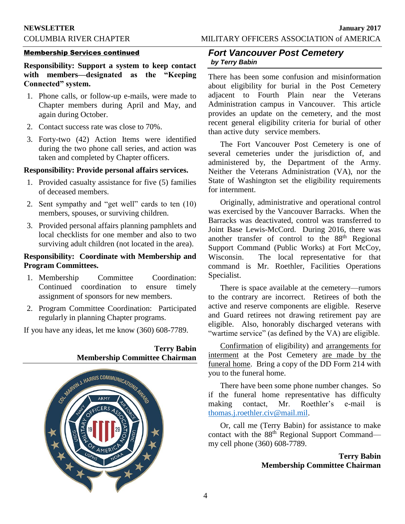**NEWSLETTER January 2017** COLUMBIA RIVER CHAPTER MILITARY OFFICERS ASSOCIATION of AMERICA

#### Membership Services continued

**Responsibility: Support a system to keep contact with members—designated as the "Keeping Connected" system.**

- 1. Phone calls, or follow-up e-mails, were made to Chapter members during April and May, and again during October.
- 2. Contact success rate was close to 70%.
- 3. Forty-two (42) Action Items were identified during the two phone call series, and action was taken and completed by Chapter officers.

#### **Responsibility: Provide personal affairs services.**

- 1. Provided casualty assistance for five (5) families of deceased members.
- 2. Sent sympathy and "get well" cards to ten (10) members, spouses, or surviving children.
- 3. Provided personal affairs planning pamphlets and local checklists for one member and also to two surviving adult children (not located in the area).

#### **Responsibility: Coordinate with Membership and Program Committees.**

- 1. Membership Committee Coordination: Continued coordination to ensure timely assignment of sponsors for new members.
- 2. Program Committee Coordination: Participated regularly in planning Chapter programs.

If you have any ideas, let me know (360) 608-7789.

#### **Terry Babin Membership Committee Chairman**



#### *Fort Vancouver Post Cemetery by Terry Babin*

There has been some confusion and misinformation about eligibility for burial in the Post Cemetery adjacent to Fourth Plain near the Veterans Administration campus in Vancouver. This article provides an update on the cemetery, and the most recent general eligibility criteria for burial of other than active duty service members.

The Fort Vancouver Post Cemetery is one of several cemeteries under the jurisdiction of, and administered by, the Department of the Army. Neither the Veterans Administration (VA), nor the State of Washington set the eligibility requirements for internment.

Originally, administrative and operational control was exercised by the Vancouver Barracks. When the Barracks was deactivated, control was transferred to Joint Base Lewis-McCord. During 2016, there was another transfer of control to the 88th Regional Support Command (Public Works) at Fort McCoy, Wisconsin. The local representative for that command is Mr. Roethler, Facilities Operations Specialist.

There is space available at the cemetery—rumors to the contrary are incorrect. Retirees of both the active and reserve components are eligible. Reserve and Guard retirees not drawing retirement pay are eligible. Also, honorably discharged veterans with "wartime service" (as defined by the VA) are eligible.

Confirmation of eligibility) and arrangements for interment at the Post Cemetery are made by the funeral home. Bring a copy of the DD Form 214 with you to the funeral home.

There have been some phone number changes. So if the funeral home representative has difficulty making contact, Mr. Roethler's e-mail is [thomas.j.roethler.civ@mail.mil.](mailto:thomas.j.roethler.civ@mail.mil)

Or, call me (Terry Babin) for assistance to make contact with the 88<sup>th</sup> Regional Support Command my cell phone (360) 608-7789.

> **Terry Babin Membership Committee Chairman**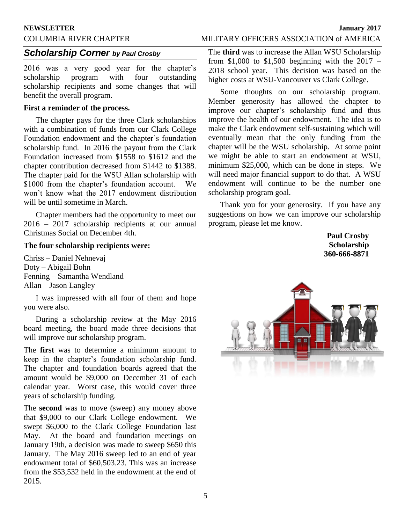#### **NEWSLETTER January 2017**

# COLUMBIA RIVER CHAPTER MILITARY OFFICERS ASSOCIATION of AMERICA

#### *Scholarship Corner by Paul Crosby*

2016 was a very good year for the chapter's scholarship program with four outstanding scholarship recipients and some changes that will benefit the overall program.

#### **First a reminder of the process.**

The chapter pays for the three Clark scholarships with a combination of funds from our Clark College Foundation endowment and the chapter's foundation scholarship fund. In 2016 the payout from the Clark Foundation increased from \$1558 to \$1612 and the chapter contribution decreased from \$1442 to \$1388. The chapter paid for the WSU Allan scholarship with \$1000 from the chapter's foundation account. We won't know what the 2017 endowment distribution will be until sometime in March.

Chapter members had the opportunity to meet our 2016 – 2017 scholarship recipients at our annual Christmas Social on December 4th.

#### **The four scholarship recipients were:**

Chriss – Daniel Nehnevaj Doty – Abigail Bohn Fenning – Samantha Wendland Allan – Jason Langley

I was impressed with all four of them and hope you were also.

During a scholarship review at the May 2016 board meeting, the board made three decisions that will improve our scholarship program.

The **first** was to determine a minimum amount to keep in the chapter's foundation scholarship fund. The chapter and foundation boards agreed that the amount would be \$9,000 on December 31 of each calendar year. Worst case, this would cover three years of scholarship funding.

The **second** was to move (sweep) any money above that \$9,000 to our Clark College endowment. We swept \$6,000 to the Clark College Foundation last May. At the board and foundation meetings on January 19th, a decision was made to sweep \$650 this January. The May 2016 sweep led to an end of year endowment total of \$60,503.23. This was an increase from the \$53,532 held in the endowment at the end of 2015.

The **third** was to increase the Allan WSU Scholarship from  $$1,000$  to  $$1,500$  beginning with the 2017 – 2018 school year. This decision was based on the higher costs at WSU-Vancouver vs Clark College.

Some thoughts on our scholarship program. Member generosity has allowed the chapter to improve our chapter's scholarship fund and thus improve the health of our endowment. The idea is to make the Clark endowment self-sustaining which will eventually mean that the only funding from the chapter will be the WSU scholarship. At some point we might be able to start an endowment at WSU, minimum \$25,000, which can be done in steps. We will need major financial support to do that. A WSU endowment will continue to be the number one scholarship program goal.

Thank you for your generosity. If you have any suggestions on how we can improve our scholarship program, please let me know.

> **Paul Crosby Scholarship 360-666-8871**

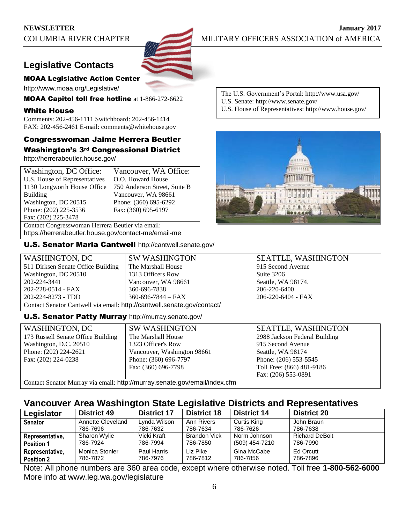# **Legislative Contacts**



http://www.moaa.org/Legislative/

MOAA Capitol toll free hotline at 1-866-272-6622

#### White House

Comments: 202-456-1111 Switchboard: 202-456-1414 FAX: 202-456-2461 E-mail: comments@whitehouse.gov

### Congresswoman Jaime Herrera Beutler Washington's 3rd Congressional District

http://herrerabeutler.house.gov/

| Washington, DC Office:                           | Vancouver, WA Office:        |  |  |  |
|--------------------------------------------------|------------------------------|--|--|--|
| U.S. House of Representatives                    | O.O. Howard House            |  |  |  |
| 1130 Longworth House Office                      | 750 Anderson Street, Suite B |  |  |  |
| <b>Building</b>                                  | Vancouver, WA 98661          |  |  |  |
| Washington, DC 20515                             | Phone: (360) 695-6292        |  |  |  |
| Phone: (202) 225-3536                            | Fax: (360) 695-6197          |  |  |  |
| Fax: (202) 225-3478                              |                              |  |  |  |
| Contact Congresswoman Herrera Beutler via email: |                              |  |  |  |
|                                                  |                              |  |  |  |

https://herrerabeutler.house.gov/contact-me/email-me

U.S. Senator Maria Cantwell http://cantwell.senate.gov/

The U.S. Government's Portal: http://www.usa.gov/

- U.S. Senate: http://www.senate.gov/
- U.S. House of Representatives: http://www.house.gov/



| WASHINGTON, DC                                                          | <b>SW WASHINGTON</b>     | <b>SEATTLE, WASHINGTON</b> |  |  |
|-------------------------------------------------------------------------|--------------------------|----------------------------|--|--|
| 511 Dirksen Senate Office Building                                      | The Marshall House       | 915 Second Avenue          |  |  |
| Washington, DC 20510                                                    | 1313 Officers Row        | Suite 3206                 |  |  |
| 202-224-3441                                                            | Vancouver, WA 98661      | Seattle, WA 98174.         |  |  |
| 202-228-0514 - FAX                                                      | 360-696-7838             | 206-220-6400               |  |  |
| 202-224-8273 - TDD                                                      | $360 - 696 - 7844 - FAX$ | 206-220-6404 - FAX         |  |  |
| Contact Senator Cantwell via email: http://cantwell.senate.gov/contact/ |                          |                            |  |  |

#### **U.S. Senator Patty Murray** http://murray.senate.gov/

| WASHINGTON, DC                                                             | <b>SW WASHINGTON</b>        | <b>SEATTLE, WASHINGTON</b>    |  |
|----------------------------------------------------------------------------|-----------------------------|-------------------------------|--|
| 173 Russell Senate Office Building                                         | The Marshall House          | 2988 Jackson Federal Building |  |
| Washington, D.C. 20510                                                     | 1323 Officer's Row          | 915 Second Avenue             |  |
| Phone: $(202)$ 224-2621                                                    | Vancouver, Washington 98661 | Seattle, WA 98174             |  |
| Fax: (202) 224-0238                                                        | Phone: (360) 696-7797       | Phone: (206) 553-5545         |  |
|                                                                            | Fax: (360) 696-7798         | Toll Free: (866) 481-9186     |  |
|                                                                            |                             | Fax: (206) 553-0891           |  |
| Contact Senator Murray via email: http://murray.senate.gov/email/index.cfm |                             |                               |  |

# **Vancouver Area Washington State Legislative Districts and Representatives**

| Legislator        | <b>District 49</b>            | <b>District 17</b> | <b>District 18</b>     | <b>District 14</b> | <b>District 20</b>     |
|-------------------|-------------------------------|--------------------|------------------------|--------------------|------------------------|
| <b>Senator</b>    | Annette Cleveland<br>786-7696 | Lynda Wilson       | Ann Rivers<br>786-7634 | Curtis King        | John Braun<br>786-7638 |
|                   |                               | 786-7632           |                        | 786-7626           |                        |
| Representative,   | Sharon Wylie                  | Vicki Kraft        | <b>Brandon Vick</b>    | Norm Johnson       | <b>Richard DeBolt</b>  |
| <b>Position 1</b> | 786-7924                      | 786-7994           | 786-7850               | (509) 454-7210     | 786-7990               |
| Representative,   | Monica Stonier                | Paul Harris        | Liz Pike               | Gina McCabe        | Ed Orcutt              |
| <b>Position 2</b> | 786-7872                      | 786-7976           | 786-7812               | 786-7856           | 786-7896               |

Note: All phone numbers are 360 area code, except where otherwise noted. Toll free **1-800-562-6000** More info at www.leg.wa.gov/legislature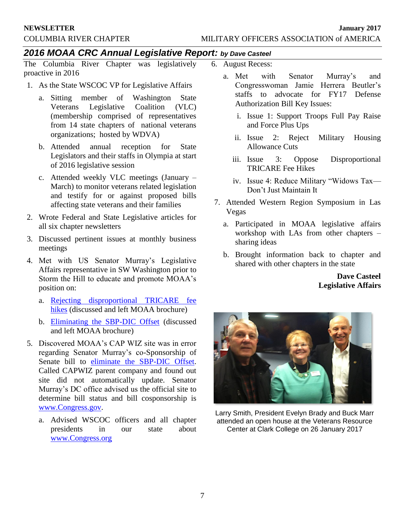# *2016 MOAA CRC Annual Legislative Report: by Dave Casteel*

The Columbia River Chapter was legislatively proactive in 2016

- 1. As the State WSCOC VP for Legislative Affairs
	- a. Sitting member of Washington State<br>Veterans Legislative Coalition (VLC) Veterans Legislative Coalition (VLC) (membership comprised of representatives from 14 state chapters of national veterans organizations; hosted by WDVA)
	- b. Attended annual reception for State Legislators and their staffs in Olympia at start of 2016 legislative session
	- c. Attended weekly VLC meetings (January March) to monitor veterans related legislation and testify for or against proposed bills affecting state veterans and their families
- 2. Wrote Federal and State Legislative articles for all six chapter newsletters
- 3. Discussed pertinent issues at monthly business meetings
- 4. Met with US Senator Murray's Legislative Affairs representative in SW Washington prior to Storm the Hill to educate and promote MOAA's position on:
	- a. [Rejecting disproportional TRICARE fee](http://www.moaa.org/uploadedFiles/Pages/Storming/16StormingHandoutpages.pdf)  [hikes](http://www.moaa.org/uploadedFiles/Pages/Storming/16StormingHandoutpages.pdf) (discussed and left MOAA brochure)
	- b. [Eliminating the SBP-DIC Offset](http://www.moaa.org/uploadedFiles/Pages/Storming/16SBPHandoutpages.pdf) (discussed and left MOAA brochure)
- 5. Discovered MOAA's CAP WIZ site was in error regarding Senator Murray's co-Sponsorship of Senate bill to [eliminate the SBP-DIC Offset.](http://www.moaa.org/uploadedFiles/Pages/Storming/16SBPHandoutpages.pdf) Called CAPWIZ parent company and found out site did not automatically update. Senator Murray's DC office advised us the official site to determine bill status and bill cosponsorship is [www.Congress.gov.](http://www.congress.gov/)
	- a. Advised WSCOC officers and all chapter presidents in our state about [www.Congress.org](http://www.congress.org/)
- 6. August Recess:
	- a. Met with Senator Murray's and Congresswoman Jamie Herrera Beutler's staffs to advocate for FY17 Defense Authorization Bill Key Issues:
		- i. Issue 1: Support Troops Full Pay Raise and Force Plus Ups
		- ii. Issue 2: Reject Military Housing Allowance Cuts
		- iii. Issue 3: Oppose Disproportional TRICARE Fee Hikes
		- iv. Issue 4: Reduce Military "Widows Tax— Don't Just Maintain It
- 7. Attended Western Region Symposium in Las Vegas
	- a. Participated in MOAA legislative affairs workshop with LAs from other chapters – sharing ideas
	- b. Brought information back to chapter and shared with other chapters in the state

### **Dave Casteel Legislative Affairs**



Larry Smith, President Evelyn Brady and Buck Marr attended an open house at the Veterans Resource Center at Clark College on 26 January 2017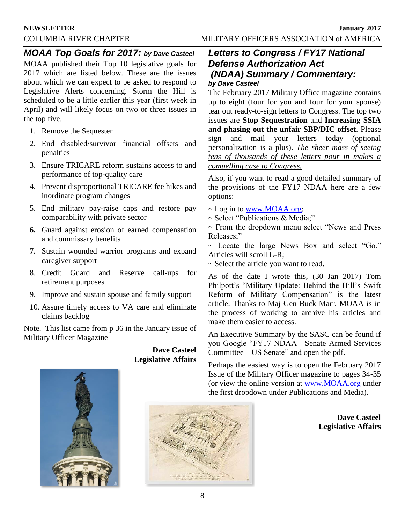#### **NEWSLETTER January 2017**

COLUMBIA RIVER CHAPTER MILITARY OFFICERS ASSOCIATION of AMERICA

# *MOAA Top Goals for 2017: by Dave Casteel*

MOAA published their Top 10 legislative goals for 2017 which are listed below. These are the issues about which we can expect to be asked to respond to Legislative Alerts concerning. Storm the Hill is scheduled to be a little earlier this year (first week in April) and will likely focus on two or three issues in the top five.

- 1. Remove the Sequester
- 2. End disabled/survivor financial offsets and penalties
- 3. Ensure TRICARE reform sustains access to and performance of top-quality care
- 4. Prevent disproportional TRICARE fee hikes and inordinate program changes
- 5. End military pay-raise caps and restore pay comparability with private sector
- **6.** Guard against erosion of earned compensation and commissary benefits
- **7.** Sustain wounded warrior programs and expand caregiver support
- 8. Credit Guard and Reserve call-ups for retirement purposes
- 9. Improve and sustain spouse and family support
- 10. Assure timely access to VA care and eliminate claims backlog

Note. This list came from p 36 in the January issue of Military Officer Magazine

> **Dave Casteel Legislative Affairs**

# *Letters to Congress / FY17 National Defense Authorization Act (NDAA) Summary / Commentary: by Dave Casteel*

The February 2017 Military Office magazine contains up to eight (four for you and four for your spouse) tear out ready-to-sign letters to Congress. The top two issues are **Stop Sequestration** and **Increasing SSIA and phasing out the unfair SBP/DIC offset**. Please sign and mail your letters today (optional personalization is a plus). *The sheer mass of seeing tens of thousands of these letters pour in makes a compelling case to Congress.*

Also, if you want to read a good detailed summary of the provisions of the FY17 NDAA here are a few options:

- ~ Log in to [www.MOAA.org;](http://www.moaa.org/)
- ~ Select "Publications & Media;"

~ From the dropdown menu select "News and Press Releases;"

~ Locate the large News Box and select "Go." Articles will scroll L-R;

~ Select the article you want to read.

As of the date I wrote this, (30 Jan 2017) Tom Philpott's "Military Update: Behind the Hill's Swift Reform of Military Compensation" is the latest article. Thanks to Maj Gen Buck Marr, MOAA is in the process of working to archive his articles and make them easier to access.

An Executive Summary by the SASC can be found if you Google "FY17 NDAA—Senate Armed Services Committee—US Senate" and open the pdf.

Perhaps the easiest way is to open the February 2017 Issue of the Military Officer magazine to pages 34-35 (or view the online version at [www.MOAA.org](http://www.moaa.org/) under the first dropdown under Publications and Media).





**Dave Casteel Legislative Affairs**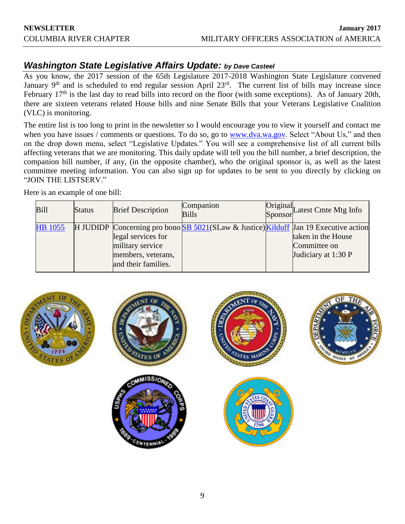# *Washington State Legislative Affairs Update: by Dave Casteel*

As you know, the 2017 session of the 65th Legislature 2017-2018 Washington State Legislature convened January 9<sup>th</sup> and is scheduled to end regular session April 23<sup>rd</sup>. The current list of bills may increase since February 17<sup>th</sup> is the last day to read bills into record on the floor (with some exceptions). As of January 20th, there are sixteen veterans related House bills and nine Senate Bills that your Veterans Legislative Coalition (VLC) is monitoring.

The entire list is too long to print in the newsletter so I would encourage you to view it yourself and contact me when you have issues / comments or questions. To do so, go to [www.dva.wa.gov.](http://www.dva.wa.gov/) Select "About Us," and then on the drop down menu, select "Legislative Updates." You will see a comprehensive list of all current bills affecting veterans that we are monitoring. This daily update will tell you the bill number, a brief description, the companion bill number, if any, (in the opposite chamber), who the original sponsor is, as well as the latest committee meeting information. You can also sign up for updates to be sent to you directly by clicking on "JOIN THE LISTSERV."

Here is an example of one bill:

| Bill           | <b>Status</b> | <b>Brief Description</b>                                                            | Companion<br><b>Bills</b>                                                                   | Original<br>Sponsor<br>Latest Cmte Mtg Info               |
|----------------|---------------|-------------------------------------------------------------------------------------|---------------------------------------------------------------------------------------------|-----------------------------------------------------------|
| <b>HB</b> 1055 |               | legal services for<br>military service<br>members, veterans,<br>and their families. | H JUDIDP Concerning pro bono <b>SB</b> 5021(SLaw & Justice) Kilduff Jan 19 Executive action | taken in the House<br>Committee on<br>Judiciary at 1:30 P |